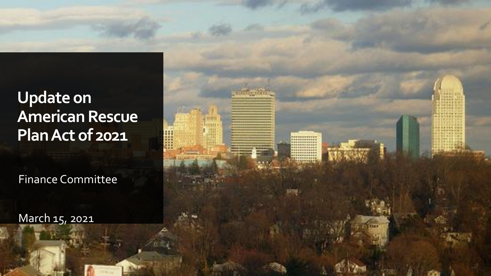**Update on American Rescue Plan Act of 2021**

Finance Committee

March 15, 2021

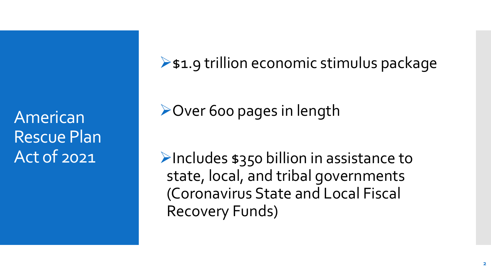American Rescue Plan Act of 2021

 $\triangleright$  \$1.9 trillion economic stimulus package

**≻Over 600 pages in length** 

 $\triangleright$ Includes \$350 billion in assistance to state, local, and tribal governments (Coronavirus State and Local Fiscal Recovery Funds)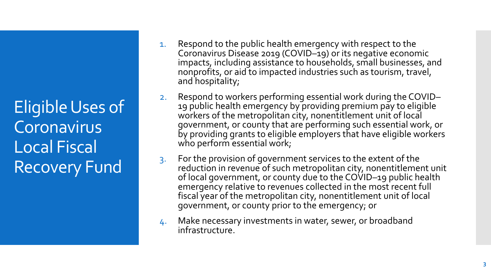Eligible Uses of **Coronavirus** Local Fiscal Recovery Fund

- 1. Respond to the public health emergency with respect to the Coronavirus Disease 2019 (COVID–19) or its negative economic impacts, including assistance to households, small businesses, and nonprofits, or aid to impacted industries such as tourism, travel, and hospitality;
- 2. Respond to workers performing essential work during the COVID– 19 public health emergency by providing premium pay to eligible workers of the metropolitan city, nonentitlement unit of local government, or county that are performing such essential work, or by providing grants to eligible employers that have eligible workers who perform essential work;
- 3. For the provision of government services to the extent of the reduction in revenue of such metropolitan city, nonentitlement unit of local government, or county due to the COVID-19 public health emergency relative to revenues collected in the most recent full fiscal year of the metropolitan city, nonentitlement unit of local government, or county prior to the emergency; or
- 4. Make necessary investments in water, sewer, or broadband infrastructure.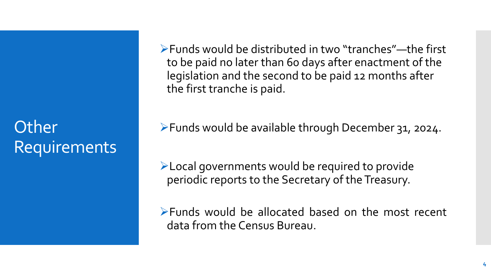## **Other Requirements**

Funds would be distributed in two "tranches"—the first to be paid no later than 60 days after enactment of the legislation and the second to be paid 12 months after the first tranche is paid.

Funds would be available through December 31, 2024.

Local governments would be required to provide periodic reports to the Secretary of the Treasury.

Funds would be allocated based on the most recent data from the Census Bureau.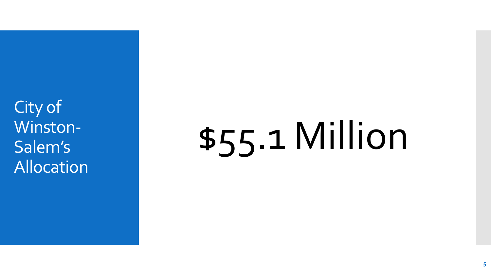City of Winston-Salem's Allocation

## \$55.1 Million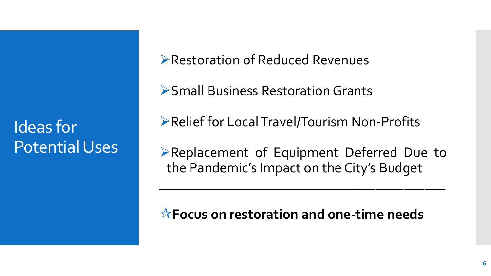Ideas for Potential Uses Restoration of Reduced Revenues

Small Business Restoration Grants

Relief for Local Travel/Tourism Non-Profits

Replacement of Equipment Deferred Due to the Pandemic's Impact on the City's Budget

 $\mathcal{L}_\text{max}$  and  $\mathcal{L}_\text{max}$  and  $\mathcal{L}_\text{max}$  and  $\mathcal{L}_\text{max}$  and  $\mathcal{L}_\text{max}$  and  $\mathcal{L}_\text{max}$ 

**Focus on restoration and one-time needs**